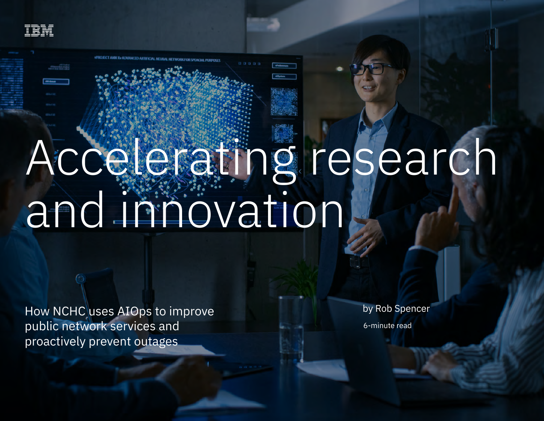

# Accelerating research and iniovation

How NCHC uses AIOps to improve public network services and proactively prevent outages 1

How NCHC uses AIOps to improve public network services and proactively prevent outages

by Rob Spencer

6-minute read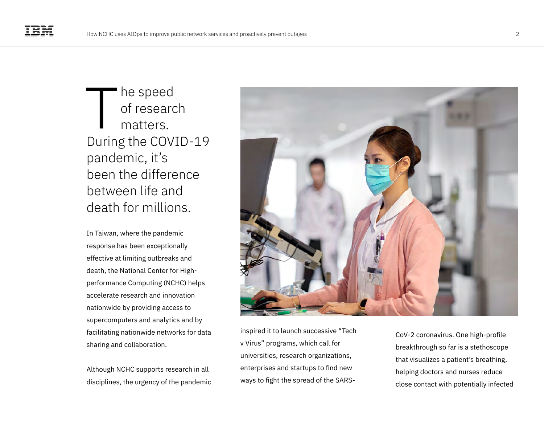he speed of research matters. During the COVID-19 pandemic, it's been the difference between life and death for millions.  $\prod$ 

In Taiwan, where the pandemic response has been exceptionally effective at limiting outbreaks and death, the National Center for Highperformance Computing (NCHC) helps accelerate research and innovation nationwide by providing access to supercomputers and analytics and by facilitating nationwide networks for data sharing and collaboration.

Although NCHC supports research in all disciplines, the urgency of the pandemic



inspired it to launch successive "Tech v Virus" programs, which call for universities, research organizations, enterprises and startups to find new ways to fight the spread of the SARS-

CoV-2 coronavirus. One high-profile breakthrough so far is a stethoscope that visualizes a patient's breathing, helping doctors and nurses reduce close contact with potentially infected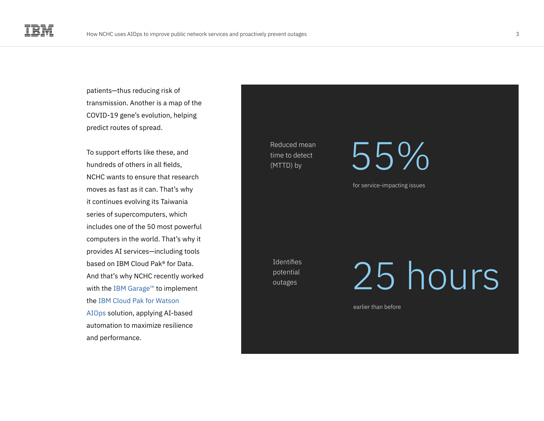patients—thus reducing risk of transmission. Another is a map of the COVID-19 gene's evolution, helping predict routes of spread.

To support efforts like these, and hundreds of others in all fields, NCHC wants to ensure that research moves as fast as it can. That's why it continues evolving its Taiwania series of supercomputers, which includes one of the 50 most powerful computers in the world. That's why it provides AI services—including tools based on IBM Cloud Pak® for Data. And that's why NCHC recently worked with the [IBM Garage™](https://www.ibm.com/garage) to implement the [IBM Cloud Pak for Watson](https://www.ibm.com/cloud/cloud-pak-for-watson-aiops)  [AIOps](https://www.ibm.com/cloud/cloud-pak-for-watson-aiops) solution, applying AI-based automation to maximize resilience and performance.

Reduced mean time to detect

 $\frac{1}{\text{time to detect}}$  55%

for service-impacting issues

**Identifies** potential outages

25 hours

earlier than before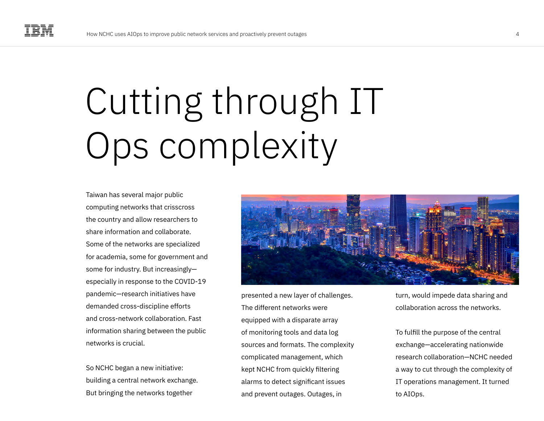# Cutting through IT Ops complexity

Taiwan has several major public computing networks that crisscross the country and allow researchers to share information and collaborate. Some of the networks are specialized for academia, some for government and some for industry. But increasingly especially in response to the COVID-19 pandemic—research initiatives have demanded cross-discipline efforts and cross-network collaboration. Fast information sharing between the public networks is crucial.

So NCHC began a new initiative: building a central network exchange. But bringing the networks together



presented a new layer of challenges. The different networks were equipped with a disparate array of monitoring tools and data log sources and formats. The complexity complicated management, which kept NCHC from quickly filtering alarms to detect significant issues and prevent outages. Outages, in

turn, would impede data sharing and collaboration across the networks.

To fulfill the purpose of the central exchange—accelerating nationwide research collaboration—NCHC needed a way to cut through the complexity of IT operations management. It turned to AIOps.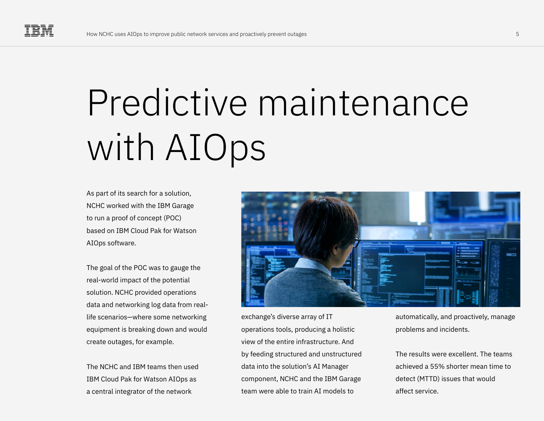# Predictive maintenance with AIOps

As part of its search for a solution, NCHC worked with the IBM Garage to run a proof of concept (POC) based on IBM Cloud Pak for Watson AIOps software.

The goal of the POC was to gauge the real-world impact of the potential solution. NCHC provided operations data and networking log data from reallife scenarios—where some networking equipment is breaking down and would create outages, for example.

The NCHC and IBM teams then used IBM Cloud Pak for Watson AIOps as a central integrator of the network



exchange's diverse array of IT operations tools, producing a holistic view of the entire infrastructure. And by feeding structured and unstructured data into the solution's AI Manager component, NCHC and the IBM Garage team were able to train AI models to

automatically, and proactively, manage problems and incidents.

The results were excellent. The teams achieved a 55% shorter mean time to detect (MTTD) issues that would affect service.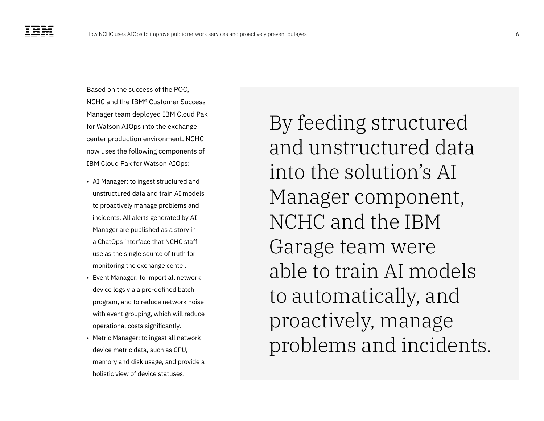Based on the success of the POC, NCHC and the IBM® Customer Success Manager team deployed IBM Cloud Pak for Watson AIOps into the exchange center production environment. NCHC now uses the following components of IBM Cloud Pak for Watson AIOps:

- AI Manager: to ingest structured and unstructured data and train AI models to proactively manage problems and incidents. All alerts generated by AI Manager are published as a story in a ChatOps interface that NCHC staff use as the single source of truth for monitoring the exchange center.
- Event Manager: to import all network device logs via a pre-defined batch program, and to reduce network noise with event grouping, which will reduce operational costs significantly.
- Metric Manager: to ingest all network device metric data, such as CPU, memory and disk usage, and provide a holistic view of device statuses.

By feeding structured and unstructured data into the solution's AI Manager component, NCHC and the IBM Garage team were able to train AI models to automatically, and proactively, manage problems and incidents.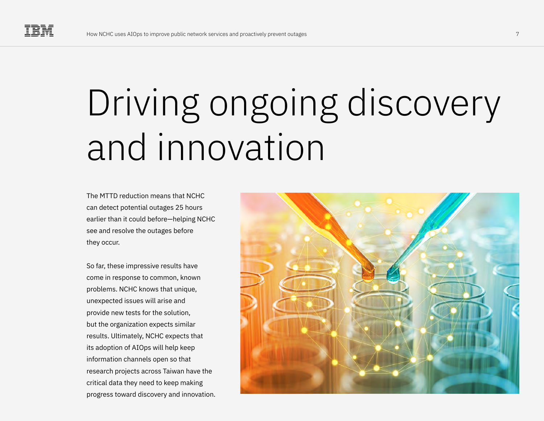### Driving ongoing discovery and innovation

The MTTD reduction means that NCHC can detect potential outages 25 hours earlier than it could before—helping NCHC see and resolve the outages before they occur.

So far, these impressive results have come in response to common, known problems. NCHC knows that unique, unexpected issues will arise and provide new tests for the solution, but the organization expects similar results. Ultimately, NCHC expects that its adoption of AIOps will help keep information channels open so that research projects across Taiwan have the critical data they need to keep making progress toward discovery and innovation.